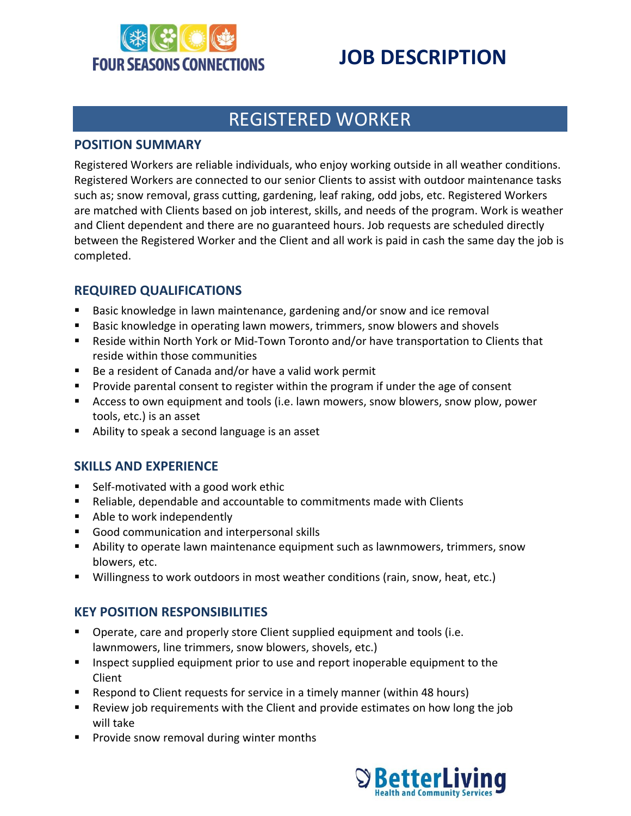

# **JOB DESCRIPTION**

### REGISTERED WORKER

#### **POSITION SUMMARY**

Registered Workers are reliable individuals, who enjoy working outside in all weather conditions. Registered Workers are connected to our senior Clients to assist with outdoor maintenance tasks such as; snow removal, grass cutting, gardening, leaf raking, odd jobs, etc. Registered Workers are matched with Clients based on job interest, skills, and needs of the program. Work is weather and Client dependent and there are no guaranteed hours. Job requests are scheduled directly between the Registered Worker and the Client and all work is paid in cash the same day the job is completed.

#### **REQUIRED QUALIFICATIONS**

- Basic knowledge in lawn maintenance, gardening and/or snow and ice removal
- **Basic knowledge in operating lawn mowers, trimmers, snow blowers and shovels**
- Reside within North York or Mid-Town Toronto and/or have transportation to Clients that reside within those communities
- Be a resident of Canada and/or have a valid work permit
- **Provide parental consent to register within the program if under the age of consent**
- Access to own equipment and tools (i.e. lawn mowers, snow blowers, snow plow, power tools, etc.) is an asset
- Ability to speak a second language is an asset

### **SKILLS AND EXPERIENCE**

- Self-motivated with a good work ethic
- Reliable, dependable and accountable to commitments made with Clients
- Able to work independently
- Good communication and interpersonal skills
- Ability to operate lawn maintenance equipment such as lawnmowers, trimmers, snow blowers, etc.
- Willingness to work outdoors in most weather conditions (rain, snow, heat, etc.)

#### **KEY POSITION RESPONSIBILITIES**

- Operate, care and properly store Client supplied equipment and tools (i.e. lawnmowers, line trimmers, snow blowers, shovels, etc.)
- **Inspect supplied equipment prior to use and report inoperable equipment to the** Client
- **EXE** Respond to Client requests for service in a timely manner (within 48 hours)
- Review job requirements with the Client and provide estimates on how long the job will take
- **Provide snow removal during winter months**